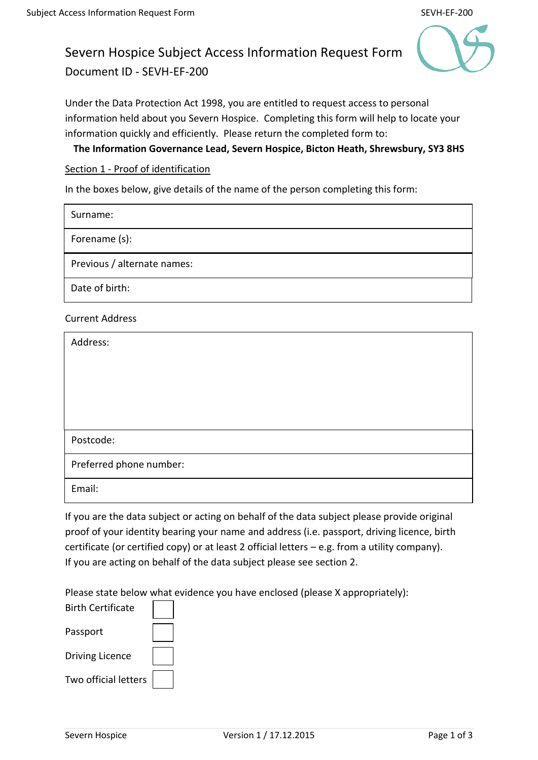# Severn Hospice Subject Access Information Request Form Document ID - SEVH-EF-200



Under the Data Protection Act 1998, you are entitled to request access to personal information held about you Severn Hospice. Completing this form will help to locate your information quickly and efficiently. Please return the completed form to:

**The Information Governance Lead, Severn Hospice, Bicton Heath, Shrewsbury, SY3 8HS**

Section 1 - Proof of identification

In the boxes below, give details of the name of the person completing this form:

| Surname:                    |
|-----------------------------|
| Forename (s):               |
| Previous / alternate names: |
| Date of birth:              |

Current Address

| Address:                |
|-------------------------|
|                         |
|                         |
|                         |
| Postcode:               |
| Preferred phone number: |
| Email:                  |

If you are the data subject or acting on behalf of the data subject please provide original proof of your identity bearing your name and address (i.e. passport, driving licence, birth certificate (or certified copy) or at least 2 official letters – e.g. from a utility company). If you are acting on behalf of the data subject please see section 2.

Please state below what evidence you have enclosed (please X appropriately):

| <b>Birth Certificate</b> |  |
|--------------------------|--|
| Passport                 |  |
| <b>Driving Licence</b>   |  |
| Two official letters     |  |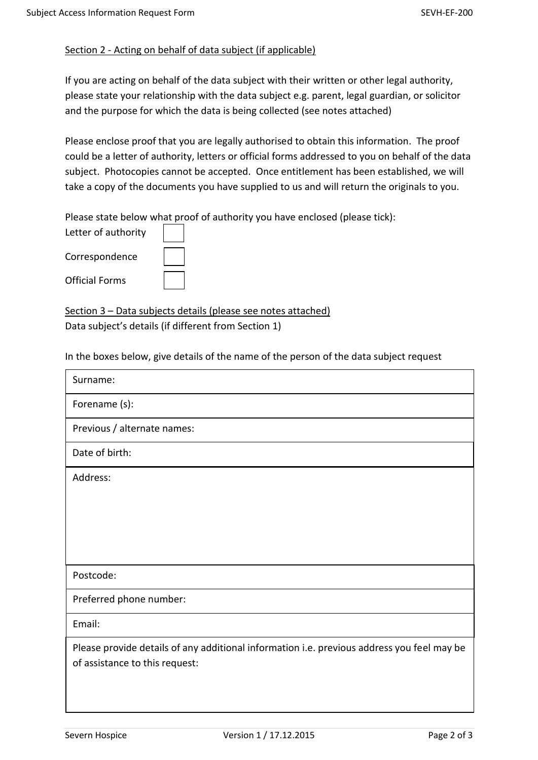### Section 2 - Acting on behalf of data subject (if applicable)

If you are acting on behalf of the data subject with their written or other legal authority, please state your relationship with the data subject e.g. parent, legal guardian, or solicitor and the purpose for which the data is being collected (see notes attached)

Please enclose proof that you are legally authorised to obtain this information. The proof could be a letter of authority, letters or official forms addressed to you on behalf of the data subject. Photocopies cannot be accepted. Once entitlement has been established, we will take a copy of the documents you have supplied to us and will return the originals to you.

Please state below what proof of authority you have enclosed (please tick):

Letter of authority Correspondence Official Forms

Section 3 – Data subjects details (please see notes attached) Data subject's details (if different from Section 1)

In the boxes below, give details of the name of the person of the data subject request

| Surname:                                                                                   |
|--------------------------------------------------------------------------------------------|
| Forename (s):                                                                              |
| Previous / alternate names:                                                                |
| Date of birth:                                                                             |
| Address:                                                                                   |
|                                                                                            |
|                                                                                            |
|                                                                                            |
| Postcode:                                                                                  |
| Preferred phone number:                                                                    |
| Email:                                                                                     |
| Please provide details of any additional information i.e. previous address you feel may be |
| of assistance to this request:                                                             |
|                                                                                            |